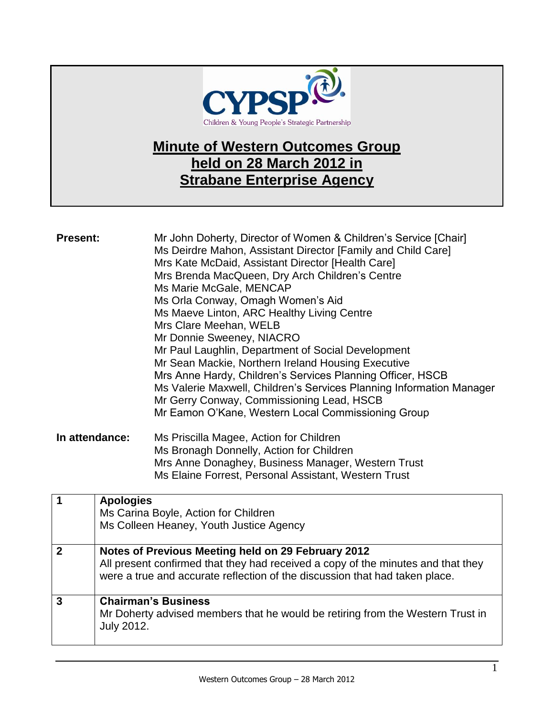

## **Minute of Western Outcomes Group held on 28 March 2012 in Strabane Enterprise Agency**

| <b>Present:</b>                          | Mr John Doherty, Director of Women & Children's Service [Chair]<br>Ms Deirdre Mahon, Assistant Director [Family and Child Care]<br>Mrs Kate McDaid, Assistant Director [Health Care]<br>Mrs Brenda MacQueen, Dry Arch Children's Centre<br>Ms Marie McGale, MENCAP<br>Ms Orla Conway, Omagh Women's Aid<br>Ms Maeve Linton, ARC Healthy Living Centre<br>Mrs Clare Meehan, WELB<br>Mr Donnie Sweeney, NIACRO<br>Mr Paul Laughlin, Department of Social Development<br>Mr Sean Mackie, Northern Ireland Housing Executive<br>Mrs Anne Hardy, Children's Services Planning Officer, HSCB<br>Ms Valerie Maxwell, Children's Services Planning Information Manager<br>Mr Gerry Conway, Commissioning Lead, HSCB<br>Mr Eamon O'Kane, Western Local Commissioning Group |
|------------------------------------------|-------------------------------------------------------------------------------------------------------------------------------------------------------------------------------------------------------------------------------------------------------------------------------------------------------------------------------------------------------------------------------------------------------------------------------------------------------------------------------------------------------------------------------------------------------------------------------------------------------------------------------------------------------------------------------------------------------------------------------------------------------------------|
| In attendance:                           | Ms Priscilla Magee, Action for Children<br>Ms Bronagh Donnelly, Action for Children<br>Mrs Anne Donaghey, Business Manager, Western Trust<br>Ms Elaine Forrest, Personal Assistant, Western Trust                                                                                                                                                                                                                                                                                                                                                                                                                                                                                                                                                                 |
| $\blacktriangleleft$<br><b>Apologies</b> | $\blacksquare$ Dende Aethen fen Obildu                                                                                                                                                                                                                                                                                                                                                                                                                                                                                                                                                                                                                                                                                                                            |

|   | <b>Apologica</b><br>Ms Carina Boyle, Action for Children<br>Ms Colleen Heaney, Youth Justice Agency                                                                                                                   |
|---|-----------------------------------------------------------------------------------------------------------------------------------------------------------------------------------------------------------------------|
| 2 | Notes of Previous Meeting held on 29 February 2012<br>All present confirmed that they had received a copy of the minutes and that they<br>were a true and accurate reflection of the discussion that had taken place. |
| 3 | <b>Chairman's Business</b><br>Mr Doherty advised members that he would be retiring from the Western Trust in<br><b>July 2012.</b>                                                                                     |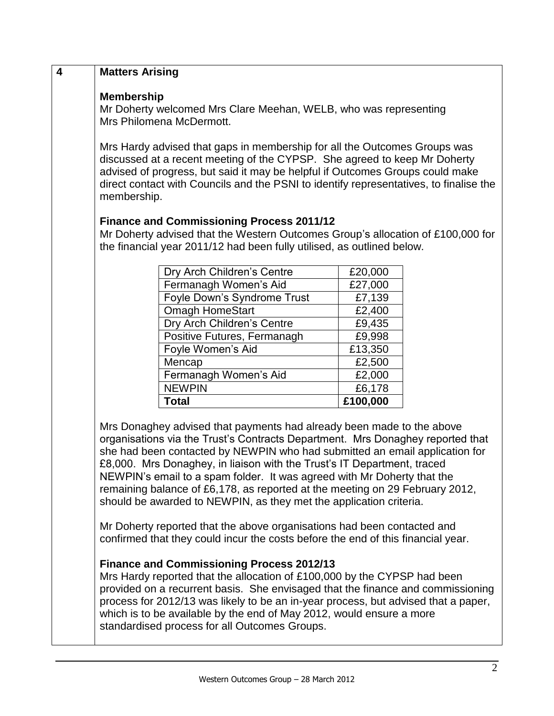| $\overline{\mathbf{4}}$ | <b>Matters Arising</b>                                                                                                                                                                                                                                                                                                                                                                                                                                                                                                                             |                   |  |
|-------------------------|----------------------------------------------------------------------------------------------------------------------------------------------------------------------------------------------------------------------------------------------------------------------------------------------------------------------------------------------------------------------------------------------------------------------------------------------------------------------------------------------------------------------------------------------------|-------------------|--|
|                         | <b>Membership</b><br>Mr Doherty welcomed Mrs Clare Meehan, WELB, who was representing<br>Mrs Philomena McDermott.                                                                                                                                                                                                                                                                                                                                                                                                                                  |                   |  |
|                         | Mrs Hardy advised that gaps in membership for all the Outcomes Groups was<br>discussed at a recent meeting of the CYPSP. She agreed to keep Mr Doherty<br>advised of progress, but said it may be helpful if Outcomes Groups could make<br>direct contact with Councils and the PSNI to identify representatives, to finalise the<br>membership.                                                                                                                                                                                                   |                   |  |
|                         | <b>Finance and Commissioning Process 2011/12</b><br>Mr Doherty advised that the Western Outcomes Group's allocation of £100,000 for<br>the financial year 2011/12 had been fully utilised, as outlined below.                                                                                                                                                                                                                                                                                                                                      |                   |  |
|                         |                                                                                                                                                                                                                                                                                                                                                                                                                                                                                                                                                    |                   |  |
|                         | Dry Arch Children's Centre                                                                                                                                                                                                                                                                                                                                                                                                                                                                                                                         | £20,000           |  |
|                         | Fermanagh Women's Aid                                                                                                                                                                                                                                                                                                                                                                                                                                                                                                                              | £27,000           |  |
|                         | Foyle Down's Syndrome Trust<br><b>Omagh HomeStart</b>                                                                                                                                                                                                                                                                                                                                                                                                                                                                                              | £7,139            |  |
|                         |                                                                                                                                                                                                                                                                                                                                                                                                                                                                                                                                                    | £2,400            |  |
|                         | Dry Arch Children's Centre                                                                                                                                                                                                                                                                                                                                                                                                                                                                                                                         | £9,435            |  |
|                         | Positive Futures, Fermanagh<br>Foyle Women's Aid                                                                                                                                                                                                                                                                                                                                                                                                                                                                                                   | £9,998<br>£13,350 |  |
|                         | Mencap                                                                                                                                                                                                                                                                                                                                                                                                                                                                                                                                             |                   |  |
|                         | Fermanagh Women's Aid                                                                                                                                                                                                                                                                                                                                                                                                                                                                                                                              | £2,500<br>£2,000  |  |
|                         | <b>NEWPIN</b>                                                                                                                                                                                                                                                                                                                                                                                                                                                                                                                                      | £6,178            |  |
|                         | <b>Total</b>                                                                                                                                                                                                                                                                                                                                                                                                                                                                                                                                       | £100,000          |  |
|                         |                                                                                                                                                                                                                                                                                                                                                                                                                                                                                                                                                    |                   |  |
|                         | Mrs Donaghey advised that payments had already been made to the above<br>organisations via the Trust's Contracts Department. Mrs Donaghey reported that<br>she had been contacted by NEWPIN who had submitted an email application for<br>£8,000. Mrs Donaghey, in liaison with the Trust's IT Department, traced<br>NEWPIN's email to a spam folder. It was agreed with Mr Doherty that the<br>remaining balance of £6,178, as reported at the meeting on 29 February 2012,<br>should be awarded to NEWPIN, as they met the application criteria. |                   |  |
|                         | Mr Doherty reported that the above organisations had been contacted and<br>confirmed that they could incur the costs before the end of this financial year.                                                                                                                                                                                                                                                                                                                                                                                        |                   |  |
|                         | <b>Finance and Commissioning Process 2012/13</b><br>Mrs Hardy reported that the allocation of £100,000 by the CYPSP had been<br>provided on a recurrent basis. She envisaged that the finance and commissioning<br>process for 2012/13 was likely to be an in-year process, but advised that a paper,<br>which is to be available by the end of May 2012, would ensure a more                                                                                                                                                                      |                   |  |

standardised process for all Outcomes Groups.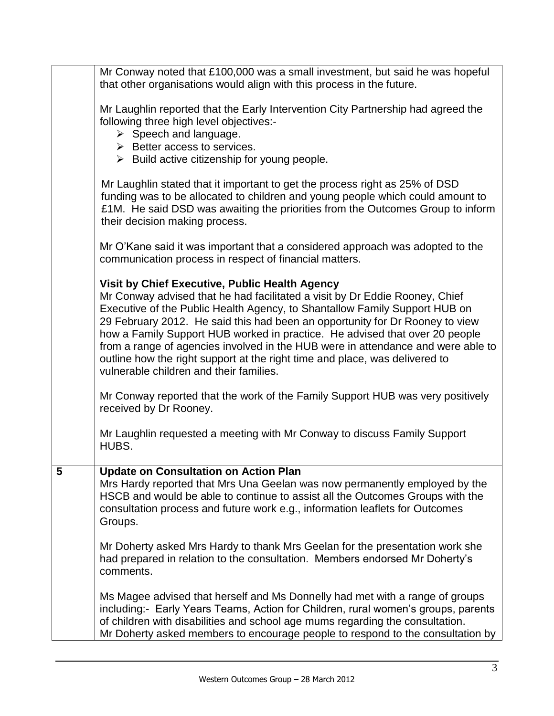|   | Mr Conway noted that £100,000 was a small investment, but said he was hopeful<br>that other organisations would align with this process in the future.                                                                                                                                                                                                                                                                                                                                                                                                                                   |
|---|------------------------------------------------------------------------------------------------------------------------------------------------------------------------------------------------------------------------------------------------------------------------------------------------------------------------------------------------------------------------------------------------------------------------------------------------------------------------------------------------------------------------------------------------------------------------------------------|
|   | Mr Laughlin reported that the Early Intervention City Partnership had agreed the<br>following three high level objectives:-<br>$\triangleright$ Speech and language.<br>$\triangleright$ Better access to services.<br>$\triangleright$ Build active citizenship for young people.                                                                                                                                                                                                                                                                                                       |
|   | Mr Laughlin stated that it important to get the process right as 25% of DSD<br>funding was to be allocated to children and young people which could amount to<br>£1M. He said DSD was awaiting the priorities from the Outcomes Group to inform<br>their decision making process.                                                                                                                                                                                                                                                                                                        |
|   | Mr O'Kane said it was important that a considered approach was adopted to the<br>communication process in respect of financial matters.                                                                                                                                                                                                                                                                                                                                                                                                                                                  |
|   | Visit by Chief Executive, Public Health Agency<br>Mr Conway advised that he had facilitated a visit by Dr Eddie Rooney, Chief<br>Executive of the Public Health Agency, to Shantallow Family Support HUB on<br>29 February 2012. He said this had been an opportunity for Dr Rooney to view<br>how a Family Support HUB worked in practice. He advised that over 20 people<br>from a range of agencies involved in the HUB were in attendance and were able to<br>outline how the right support at the right time and place, was delivered to<br>vulnerable children and their families. |
|   | Mr Conway reported that the work of the Family Support HUB was very positively<br>received by Dr Rooney.                                                                                                                                                                                                                                                                                                                                                                                                                                                                                 |
|   | Mr Laughlin requested a meeting with Mr Conway to discuss Family Support<br>HUBS.                                                                                                                                                                                                                                                                                                                                                                                                                                                                                                        |
| 5 | <b>Update on Consultation on Action Plan</b><br>Mrs Hardy reported that Mrs Una Geelan was now permanently employed by the<br>HSCB and would be able to continue to assist all the Outcomes Groups with the<br>consultation process and future work e.g., information leaflets for Outcomes<br>Groups.                                                                                                                                                                                                                                                                                   |
|   | Mr Doherty asked Mrs Hardy to thank Mrs Geelan for the presentation work she<br>had prepared in relation to the consultation. Members endorsed Mr Doherty's<br>comments.                                                                                                                                                                                                                                                                                                                                                                                                                 |
|   | Ms Magee advised that herself and Ms Donnelly had met with a range of groups<br>including:- Early Years Teams, Action for Children, rural women's groups, parents<br>of children with disabilities and school age mums regarding the consultation.<br>Mr Doherty asked members to encourage people to respond to the consultation by                                                                                                                                                                                                                                                     |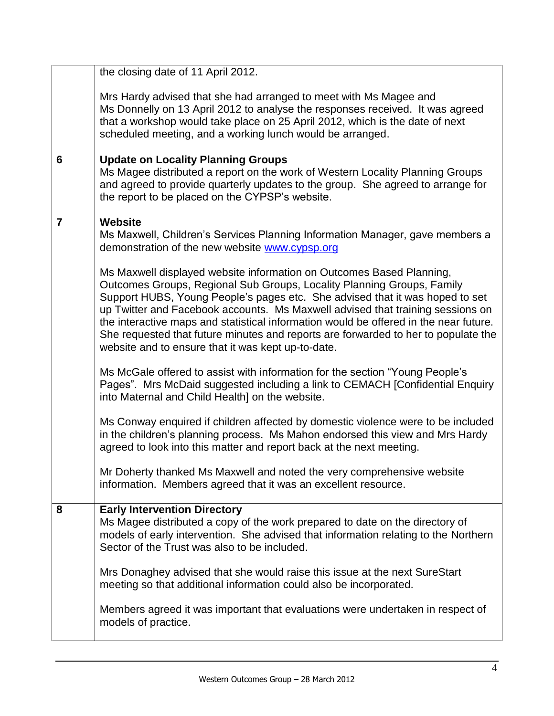|                | the closing date of 11 April 2012.                                                                                                                                                                                                                                                                                                                                                                                                                                                                                                                    |
|----------------|-------------------------------------------------------------------------------------------------------------------------------------------------------------------------------------------------------------------------------------------------------------------------------------------------------------------------------------------------------------------------------------------------------------------------------------------------------------------------------------------------------------------------------------------------------|
|                | Mrs Hardy advised that she had arranged to meet with Ms Magee and<br>Ms Donnelly on 13 April 2012 to analyse the responses received. It was agreed<br>that a workshop would take place on 25 April 2012, which is the date of next<br>scheduled meeting, and a working lunch would be arranged.                                                                                                                                                                                                                                                       |
| 6              | <b>Update on Locality Planning Groups</b><br>Ms Magee distributed a report on the work of Western Locality Planning Groups<br>and agreed to provide quarterly updates to the group. She agreed to arrange for<br>the report to be placed on the CYPSP's website.                                                                                                                                                                                                                                                                                      |
| $\overline{7}$ | <b>Website</b><br>Ms Maxwell, Children's Services Planning Information Manager, gave members a<br>demonstration of the new website www.cypsp.org                                                                                                                                                                                                                                                                                                                                                                                                      |
|                | Ms Maxwell displayed website information on Outcomes Based Planning,<br>Outcomes Groups, Regional Sub Groups, Locality Planning Groups, Family<br>Support HUBS, Young People's pages etc. She advised that it was hoped to set<br>up Twitter and Facebook accounts. Ms Maxwell advised that training sessions on<br>the interactive maps and statistical information would be offered in the near future.<br>She requested that future minutes and reports are forwarded to her to populate the<br>website and to ensure that it was kept up-to-date. |
|                | Ms McGale offered to assist with information for the section "Young People's<br>Pages". Mrs McDaid suggested including a link to CEMACH [Confidential Enquiry<br>into Maternal and Child Health] on the website.                                                                                                                                                                                                                                                                                                                                      |
|                | Ms Conway enquired if children affected by domestic violence were to be included<br>in the children's planning process. Ms Mahon endorsed this view and Mrs Hardy<br>agreed to look into this matter and report back at the next meeting.                                                                                                                                                                                                                                                                                                             |
|                | Mr Doherty thanked Ms Maxwell and noted the very comprehensive website<br>information. Members agreed that it was an excellent resource.                                                                                                                                                                                                                                                                                                                                                                                                              |
| 8              | <b>Early Intervention Directory</b><br>Ms Magee distributed a copy of the work prepared to date on the directory of<br>models of early intervention. She advised that information relating to the Northern<br>Sector of the Trust was also to be included.                                                                                                                                                                                                                                                                                            |
|                | Mrs Donaghey advised that she would raise this issue at the next SureStart<br>meeting so that additional information could also be incorporated.                                                                                                                                                                                                                                                                                                                                                                                                      |
|                | Members agreed it was important that evaluations were undertaken in respect of<br>models of practice.                                                                                                                                                                                                                                                                                                                                                                                                                                                 |